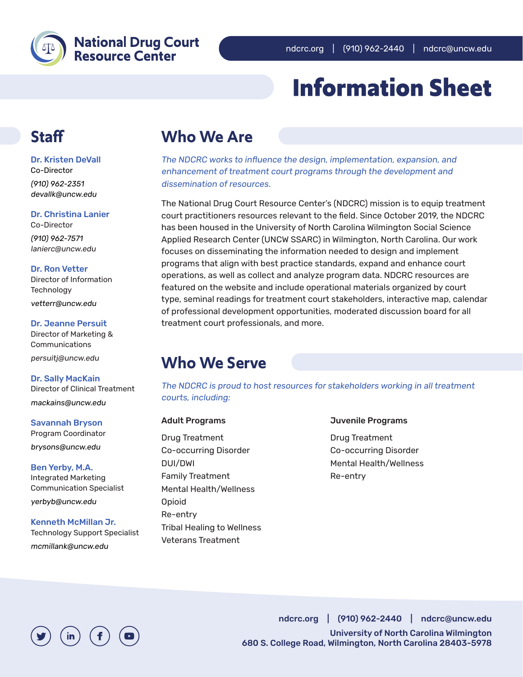

### **National Drug Court Resource Center**

## **Information Sheet**

### **Staff**

Dr. Kristen DeVall Co-Director

(910) 962-2351 devallk@uncw.edu

Dr. Christina Lanier

Co-Director (910) 962-7571 lanierc@uncw.edu

#### Dr. Ron Vetter

Director of Information **Technology** vetterr@uncw.edu

Dr. Jeanne Persuit

Director of Marketing & Communications persuitj@uncw.edu

Dr. Sally MacKain Director of Clinical Treatment mackains@uncw.edu

Savannah Bryson Program Coordinator brysons@uncw.edu

Ben Yerby, M.A. Integrated Marketing Communication Specialist yerbyb@uncw.edu

Kenneth McMillan Jr. Technology Support Specialist mcmillank@uncw.edu

## **Who We Are**

The NDCRC works to influence the design, implementation, expansion, and enhancement of treatment court programs through the development and dissemination of resources.

The National Drug Court Resource Center's (NDCRC) mission is to equip treatment court practitioners resources relevant to the field. Since October 2019, the NDCRC has been housed in the University of North Carolina Wilmington Social Science Applied Research Center (UNCW SSARC) in Wilmington, North Carolina. Our work focuses on disseminating the information needed to design and implement programs that align with best practice standards, expand and enhance court operations, as well as collect and analyze program data. NDCRC resources are featured on the website and include operational materials organized by court type, seminal readings for treatment court stakeholders, interactive map, calendar of professional development opportunities, moderated discussion board for all treatment court professionals, and more.

## **Who We Serve**

The NDCRC is proud to host resources for stakeholders working in all treatment courts, including:

### Adult Programs

Drug Treatment Co-occurring Disorder DUI/DWI Family Treatment Mental Health/Wellness Opioid Re-entry Tribal Healing to Wellness Veterans Treatment

Juvenile Programs

Drug Treatment Co-occurring Disorder Mental Health/Wellness Re-entry



ndcrc.org | (910) 962-2440 | ndcrc@uncw.edu University of North Carolina Wilmington 680 S. College Road, Wilmington, North Carolina 28403-5978